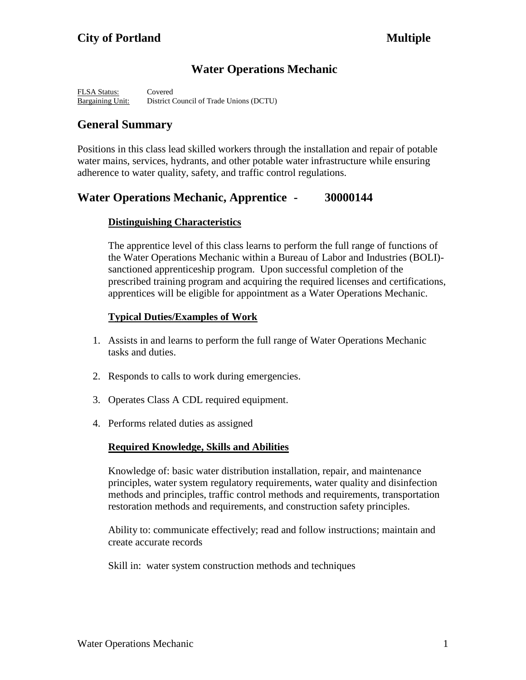# **Water Operations Mechanic**

FLSA Status: Covered Bargaining Unit: District Council of Trade Unions (DCTU)

# **General Summary**

Positions in this class lead skilled workers through the installation and repair of potable water mains, services, hydrants, and other potable water infrastructure while ensuring adherence to water quality, safety, and traffic control regulations.

# **Water Operations Mechanic, Apprentice - 30000144**

### **Distinguishing Characteristics**

The apprentice level of this class learns to perform the full range of functions of the Water Operations Mechanic within a Bureau of Labor and Industries (BOLI) sanctioned apprenticeship program. Upon successful completion of the prescribed training program and acquiring the required licenses and certifications, apprentices will be eligible for appointment as a Water Operations Mechanic.

### **Typical Duties/Examples of Work**

- 1. Assists in and learns to perform the full range of Water Operations Mechanic tasks and duties.
- 2. Responds to calls to work during emergencies.
- 3. Operates Class A CDL required equipment.
- 4. Performs related duties as assigned

#### **Required Knowledge, Skills and Abilities**

Knowledge of: basic water distribution installation, repair, and maintenance principles, water system regulatory requirements, water quality and disinfection methods and principles, traffic control methods and requirements, transportation restoration methods and requirements, and construction safety principles.

Ability to: communicate effectively; read and follow instructions; maintain and create accurate records

Skill in: water system construction methods and techniques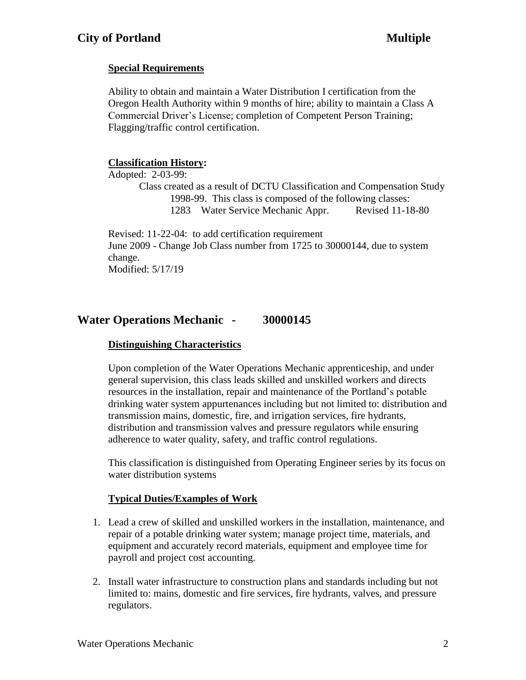## **Special Requirements**

Ability to obtain and maintain a Water Distribution I certification from the Oregon Health Authority within 9 months of hire; ability to maintain a Class A Commercial Driver's License; completion of Competent Person Training; Flagging/traffic control certification.

### **Classification History:**

Adopted: 2-03-99:

Class created as a result of DCTU Classification and Compensation Study 1998-99. This class is composed of the following classes: 1283 Water Service Mechanic Appr. Revised 11-18-80

Revised: 11-22-04: to add certification requirement June 2009 - Change Job Class number from 1725 to 30000144, due to system change. Modified: 5/17/19

# **Water Operations Mechanic - 30000145**

#### **Distinguishing Characteristics**

Upon completion of the Water Operations Mechanic apprenticeship, and under general supervision, this class leads skilled and unskilled workers and directs resources in the installation, repair and maintenance of the Portland's potable drinking water system appurtenances including but not limited to: distribution and transmission mains, domestic, fire, and irrigation services, fire hydrants, distribution and transmission valves and pressure regulators while ensuring adherence to water quality, safety, and traffic control regulations.

This classification is distinguished from Operating Engineer series by its focus on water distribution systems

## **Typical Duties/Examples of Work**

- 1. Lead a crew of skilled and unskilled workers in the installation, maintenance, and repair of a potable drinking water system; manage project time, materials, and equipment and accurately record materials, equipment and employee time for payroll and project cost accounting.
- 2. Install water infrastructure to construction plans and standards including but not limited to: mains, domestic and fire services, fire hydrants, valves, and pressure regulators.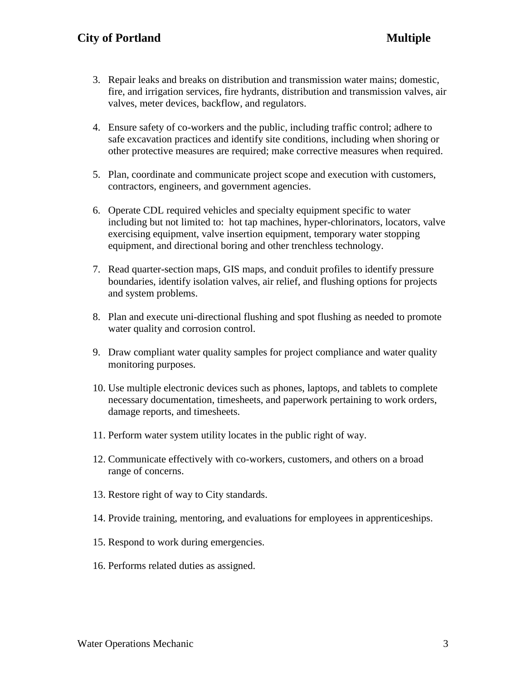- 3. Repair leaks and breaks on distribution and transmission water mains; domestic, fire, and irrigation services, fire hydrants, distribution and transmission valves, air valves, meter devices, backflow, and regulators.
- 4. Ensure safety of co-workers and the public, including traffic control; adhere to safe excavation practices and identify site conditions, including when shoring or other protective measures are required; make corrective measures when required.
- 5. Plan, coordinate and communicate project scope and execution with customers, contractors, engineers, and government agencies.
- 6. Operate CDL required vehicles and specialty equipment specific to water including but not limited to: hot tap machines, hyper-chlorinators, locators, valve exercising equipment, valve insertion equipment, temporary water stopping equipment, and directional boring and other trenchless technology.
- 7. Read quarter-section maps, GIS maps, and conduit profiles to identify pressure boundaries, identify isolation valves, air relief, and flushing options for projects and system problems.
- 8. Plan and execute uni-directional flushing and spot flushing as needed to promote water quality and corrosion control.
- 9. Draw compliant water quality samples for project compliance and water quality monitoring purposes.
- 10. Use multiple electronic devices such as phones, laptops, and tablets to complete necessary documentation, timesheets, and paperwork pertaining to work orders, damage reports, and timesheets.
- 11. Perform water system utility locates in the public right of way.
- 12. Communicate effectively with co-workers, customers, and others on a broad range of concerns.
- 13. Restore right of way to City standards.
- 14. Provide training, mentoring, and evaluations for employees in apprenticeships.
- 15. Respond to work during emergencies.
- 16. Performs related duties as assigned.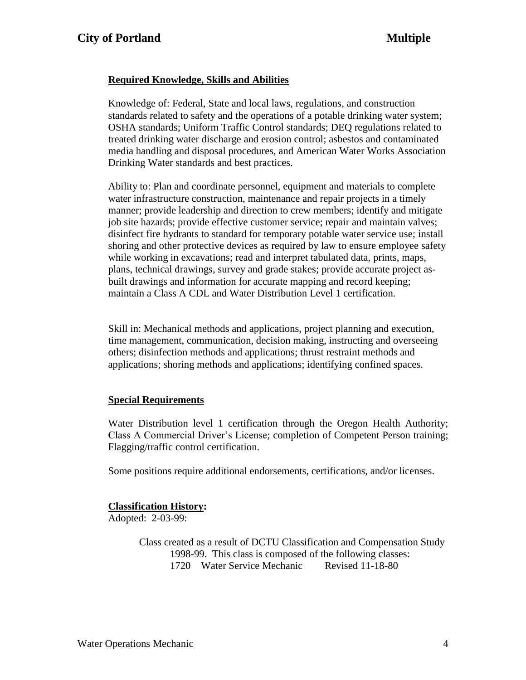### **Required Knowledge, Skills and Abilities**

Knowledge of: Federal, State and local laws, regulations, and construction standards related to safety and the operations of a potable drinking water system; OSHA standards; Uniform Traffic Control standards; DEQ regulations related to treated drinking water discharge and erosion control; asbestos and contaminated media handling and disposal procedures, and American Water Works Association Drinking Water standards and best practices.

Ability to: Plan and coordinate personnel, equipment and materials to complete water infrastructure construction, maintenance and repair projects in a timely manner; provide leadership and direction to crew members; identify and mitigate job site hazards; provide effective customer service; repair and maintain valves; disinfect fire hydrants to standard for temporary potable water service use; install shoring and other protective devices as required by law to ensure employee safety while working in excavations; read and interpret tabulated data, prints, maps, plans, technical drawings, survey and grade stakes; provide accurate project asbuilt drawings and information for accurate mapping and record keeping; maintain a Class A CDL and Water Distribution Level 1 certification.

Skill in: Mechanical methods and applications, project planning and execution, time management, communication, decision making, instructing and overseeing others; disinfection methods and applications; thrust restraint methods and applications; shoring methods and applications; identifying confined spaces.

#### **Special Requirements**

Water Distribution level 1 certification through the Oregon Health Authority; Class A Commercial Driver's License; completion of Competent Person training; Flagging/traffic control certification.

Some positions require additional endorsements, certifications, and/or licenses.

#### **Classification History:**

Adopted: 2-03-99:

Class created as a result of DCTU Classification and Compensation Study 1998-99. This class is composed of the following classes: 1720 Water Service Mechanic Revised 11-18-80